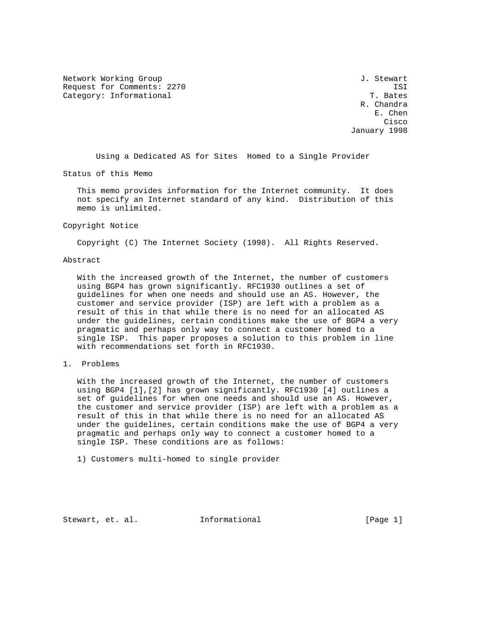Network Working Group 3. Stewart 3. Stewart 3. Stewart 3. Stewart Request for Comments: 2270 ISI Category: Informational T. Bates

R. Chandra<br>E. Chen E. Chen **Cisco Cisco de Serviço de Serviço de Serviço de Serviço de Serviço de Serviço de Serviço de Serviço de Serviço** January 1998

Using a Dedicated AS for Sites Homed to a Single Provider

Status of this Memo

 This memo provides information for the Internet community. It does not specify an Internet standard of any kind. Distribution of this memo is unlimited.

#### Copyright Notice

Copyright (C) The Internet Society (1998). All Rights Reserved.

#### Abstract

 With the increased growth of the Internet, the number of customers using BGP4 has grown significantly. RFC1930 outlines a set of guidelines for when one needs and should use an AS. However, the customer and service provider (ISP) are left with a problem as a result of this in that while there is no need for an allocated AS under the guidelines, certain conditions make the use of BGP4 a very pragmatic and perhaps only way to connect a customer homed to a single ISP. This paper proposes a solution to this problem in line with recommendations set forth in RFC1930.

## 1. Problems

 With the increased growth of the Internet, the number of customers using BGP4 [1],[2] has grown significantly. RFC1930 [4] outlines a set of guidelines for when one needs and should use an AS. However, the customer and service provider (ISP) are left with a problem as a result of this in that while there is no need for an allocated AS under the guidelines, certain conditions make the use of BGP4 a very pragmatic and perhaps only way to connect a customer homed to a single ISP. These conditions are as follows:

1) Customers multi-homed to single provider

Stewart, et. al. 1nformational [Page 1]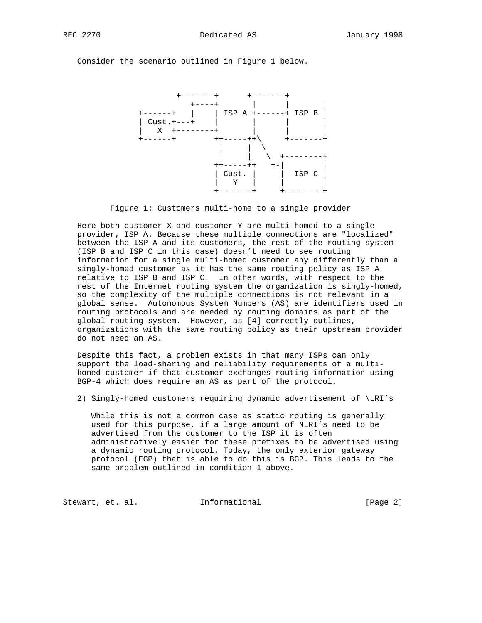Consider the scenario outlined in Figure 1 below.



Figure 1: Customers multi-home to a single provider

 Here both customer X and customer Y are multi-homed to a single provider, ISP A. Because these multiple connections are "localized" between the ISP A and its customers, the rest of the routing system (ISP B and ISP C in this case) doesn't need to see routing information for a single multi-homed customer any differently than a singly-homed customer as it has the same routing policy as ISP A relative to ISP B and ISP C. In other words, with respect to the rest of the Internet routing system the organization is singly-homed, so the complexity of the multiple connections is not relevant in a global sense. Autonomous System Numbers (AS) are identifiers used in routing protocols and are needed by routing domains as part of the global routing system. However, as [4] correctly outlines, organizations with the same routing policy as their upstream provider do not need an AS.

 Despite this fact, a problem exists in that many ISPs can only support the load-sharing and reliability requirements of a multi homed customer if that customer exchanges routing information using BGP-4 which does require an AS as part of the protocol.

2) Singly-homed customers requiring dynamic advertisement of NLRI's

While this is not a common case as static routing is generally used for this purpose, if a large amount of NLRI's need to be advertised from the customer to the ISP it is often administratively easier for these prefixes to be advertised using a dynamic routing protocol. Today, the only exterior gateway protocol (EGP) that is able to do this is BGP. This leads to the same problem outlined in condition 1 above.

Stewart, et. al. 1nformational 1999 [Page 2]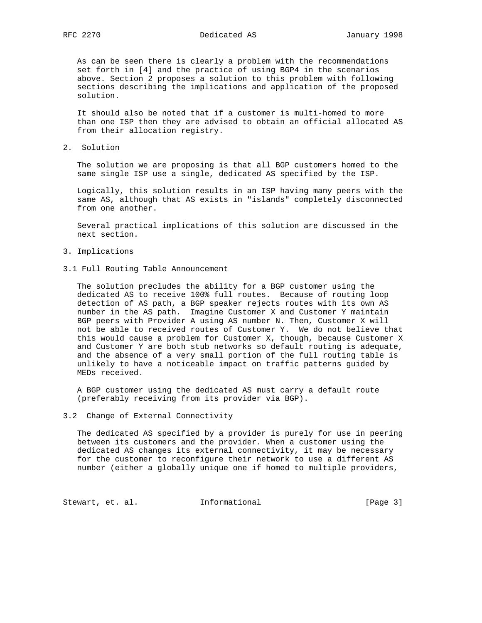As can be seen there is clearly a problem with the recommendations set forth in [4] and the practice of using BGP4 in the scenarios above. Section 2 proposes a solution to this problem with following sections describing the implications and application of the proposed solution.

 It should also be noted that if a customer is multi-homed to more than one ISP then they are advised to obtain an official allocated AS from their allocation registry.

2. Solution

 The solution we are proposing is that all BGP customers homed to the same single ISP use a single, dedicated AS specified by the ISP.

 Logically, this solution results in an ISP having many peers with the same AS, although that AS exists in "islands" completely disconnected from one another.

 Several practical implications of this solution are discussed in the next section.

- 3. Implications
- 3.1 Full Routing Table Announcement

 The solution precludes the ability for a BGP customer using the dedicated AS to receive 100% full routes. Because of routing loop detection of AS path, a BGP speaker rejects routes with its own AS number in the AS path. Imagine Customer X and Customer Y maintain BGP peers with Provider A using AS number N. Then, Customer X will not be able to received routes of Customer Y. We do not believe that this would cause a problem for Customer X, though, because Customer X and Customer Y are both stub networks so default routing is adequate, and the absence of a very small portion of the full routing table is unlikely to have a noticeable impact on traffic patterns guided by MEDs received.

 A BGP customer using the dedicated AS must carry a default route (preferably receiving from its provider via BGP).

#### 3.2 Change of External Connectivity

 The dedicated AS specified by a provider is purely for use in peering between its customers and the provider. When a customer using the dedicated AS changes its external connectivity, it may be necessary for the customer to reconfigure their network to use a different AS number (either a globally unique one if homed to multiple providers,

Stewart, et. al. 1nformational 1999 [Page 3]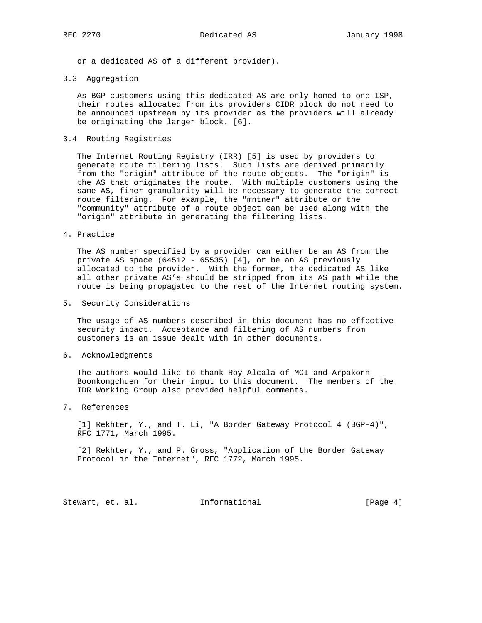or a dedicated AS of a different provider).

#### 3.3 Aggregation

 As BGP customers using this dedicated AS are only homed to one ISP, their routes allocated from its providers CIDR block do not need to be announced upstream by its provider as the providers will already be originating the larger block. [6].

## 3.4 Routing Registries

 The Internet Routing Registry (IRR) [5] is used by providers to generate route filtering lists. Such lists are derived primarily from the "origin" attribute of the route objects. The "origin" is the AS that originates the route. With multiple customers using the same AS, finer granularity will be necessary to generate the correct route filtering. For example, the "mntner" attribute or the "community" attribute of a route object can be used along with the "origin" attribute in generating the filtering lists.

### 4. Practice

 The AS number specified by a provider can either be an AS from the private AS space (64512 - 65535) [4], or be an AS previously allocated to the provider. With the former, the dedicated AS like all other private AS's should be stripped from its AS path while the route is being propagated to the rest of the Internet routing system.

5. Security Considerations

 The usage of AS numbers described in this document has no effective security impact. Acceptance and filtering of AS numbers from customers is an issue dealt with in other documents.

6. Acknowledgments

 The authors would like to thank Roy Alcala of MCI and Arpakorn Boonkongchuen for their input to this document. The members of the IDR Working Group also provided helpful comments.

7. References

 [1] Rekhter, Y., and T. Li, "A Border Gateway Protocol 4 (BGP-4)", RFC 1771, March 1995.

 [2] Rekhter, Y., and P. Gross, "Application of the Border Gateway Protocol in the Internet", RFC 1772, March 1995.

Stewart, et. al. 1nformational 1999 [Page 4]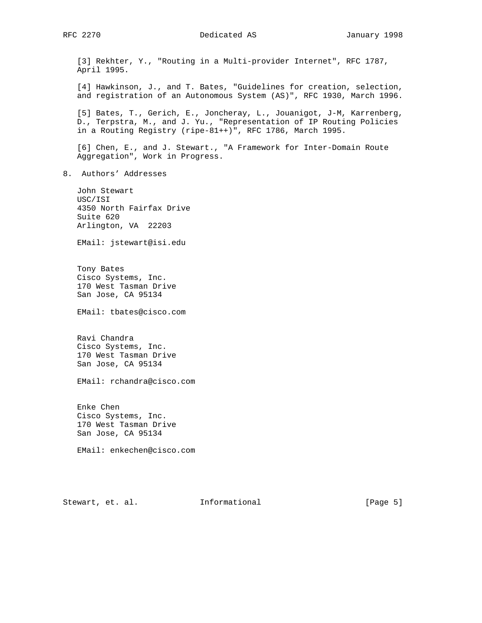#### RFC 2270 **Dedicated AS** January 1998

 [3] Rekhter, Y., "Routing in a Multi-provider Internet", RFC 1787, April 1995.

 [4] Hawkinson, J., and T. Bates, "Guidelines for creation, selection, and registration of an Autonomous System (AS)", RFC 1930, March 1996.

 [5] Bates, T., Gerich, E., Joncheray, L., Jouanigot, J-M, Karrenberg, D., Terpstra, M., and J. Yu., "Representation of IP Routing Policies in a Routing Registry (ripe-81++)", RFC 1786, March 1995.

 [6] Chen, E., and J. Stewart., "A Framework for Inter-Domain Route Aggregation", Work in Progress.

8. Authors' Addresses

 John Stewart USC/ISI 4350 North Fairfax Drive Suite 620 Arlington, VA 22203

EMail: jstewart@isi.edu

 Tony Bates Cisco Systems, Inc. 170 West Tasman Drive San Jose, CA 95134

EMail: tbates@cisco.com

 Ravi Chandra Cisco Systems, Inc. 170 West Tasman Drive San Jose, CA 95134

EMail: rchandra@cisco.com

 Enke Chen Cisco Systems, Inc. 170 West Tasman Drive San Jose, CA 95134

EMail: enkechen@cisco.com

Stewart, et. al. 1nformational 1999 [Page 5]